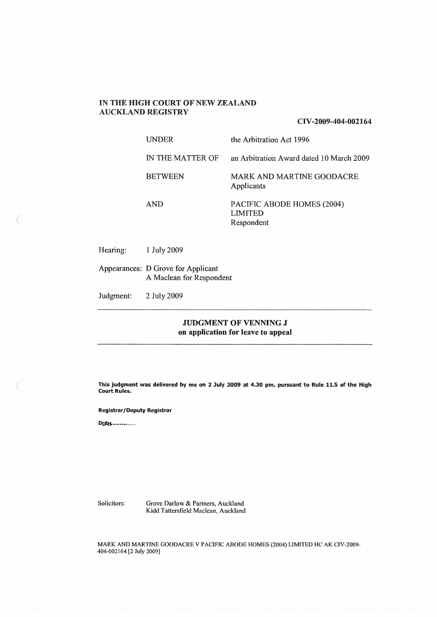# **IN THE HIGH COURT OF NEW ZEALAND AUCKLAND REGISTRY**

**CIV-2009-404-002164** 

| <b>INDER</b>     | the Arbitration Act 1996                            |
|------------------|-----------------------------------------------------|
| IN THE MATTER OF | an Arbitration Award dated 10 March 2009            |
| <b>BETWEEN</b>   | MARK AND MARTINE GOODACRE<br>Applicants             |
| <b>AND</b>       | PACIFIC ABODE HOMES (2004)<br>LIMITED<br>Respondent |

Hearing: I July 2009

 $\bigcap_{i=1}^n$ 

Appearances: D Grove for Applicant A Maclean for Respondent

Judgment: 2 July 2009

## **JUDGMENT OF VENNING J on application for leave to appeal**

**This judgment was delivered by me on 2 July 2009 at 4.30 pm, pursuant to Rule 11.5 of the High Court Rules.** 

#### **Registrar/Deputy Registrar**

**DotH..............** 

Solicitors: Grove Darlow & Partners, Auckland Kidd Tattersfield Maclean, Auckland

MARK AND MARTINE GOODACRE V PACIFIC ABODE HOMES (2004) LIMITED HC AK CIV-2009- 404-002164 (2 July 2009)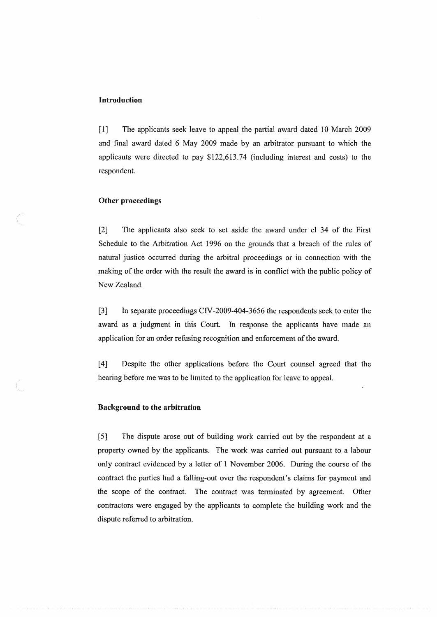### **Introduction**

[1] The applicants seek leave to appeal the partial award dated 10 March 2009 and final award dated 6 May 2009 made by an arbitrator pursuant to which the applicants were directed to pay \$122,613.74 (including interest and costs) to the respondent.

### **Other proceedings**

[2] The applicants also seek to set aside the award under cl 34 of the First Schedule to the Arbitration Act 1996 on the grounds that a breach of the rules of natural justice occurred during the arbitral proceedings or in connection with the making of the order with the result the award is in conflict with the public policy of New Zealand.

[3] In separate proceedings CIV-2009-404-3656 the respondents seek to enter the award as a judgment in this Court. In response the applicants have made an application for an order refusing recognition and enforcement of the award.

[4] Despite the other applications before the Court counsel agreed that the hearing before me was to be limited to the application for leave to appeal.

#### **Background to the arbitration**

 $\left(\begin{array}{c} 1 \end{array}\right)$ 

[5] The dispute arose out of building work carried out by the respondent at a property owned by the applicants. The work was carried out pursuant to a labour only contract evidenced by a letter of 1 November 2006. During the course of the contract the parties had a falling-out over the respondent's claims for payment and the scope of the contract. The contract was terminated by agreement. Other contractors were engaged by the applicants to complete the building work and the dispute referred to arbitration.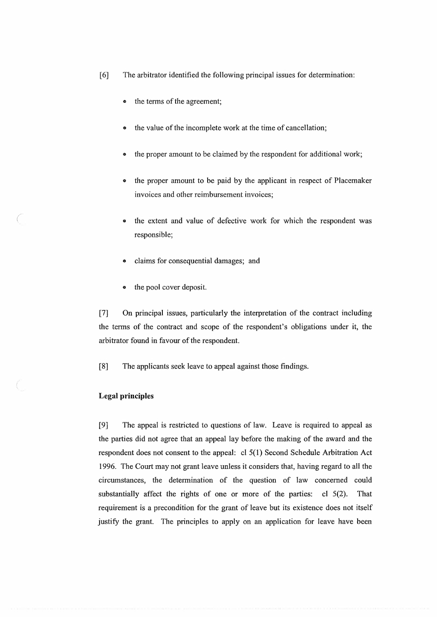- [6] The arbitrator identified the following principal issues for determination:
	- the terms of the agreement;
	- the value of the incomplete work at the time of cancellation;
	- the proper amount to be claimed by the respondent for additional work;
	- the proper amount to be paid by the applicant in respect of Placemaker invoices and other reimbursement invoices;
	- the extent and value of defective work for which the respondent was responsible;
	- claims for consequential damages; and
	- the pool cover deposit.

(7] On principal issues, particularly the interpretation of the contract including the terms of the contract and scope of the respondent's obligations under it, the arbitrator found in favour of the respondent.

[8] The applicants seek leave to appeal against those findings.

### **Legal principles**

[9] The appeal is restricted to questions of law. Leave is required to appeal as the parties did not agree that an appeal lay before the making of the award and the respondent does not consent to the appeal: cl 5(1) Second Schedule Arbitration Act 1996. The Court may not grant leave unless it considers that, having regard to all the circumstances, the determination of the question of law concerned could substantially affect the rights of one or more of the parties: cl 5(2). That requirement is a precondition for the grant of leave but its existence does not itself justify the grant. The principles to apply on an application for leave have been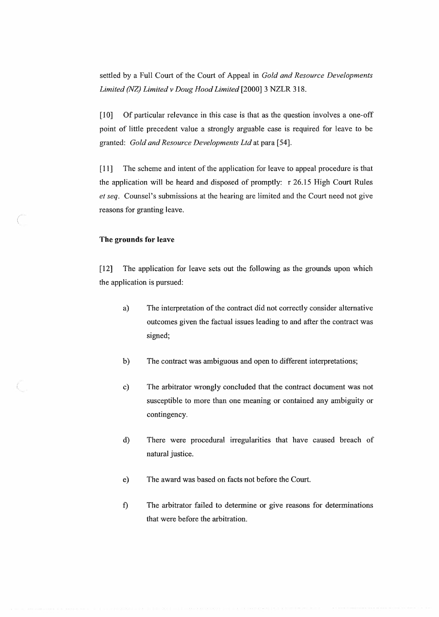settled by a Full Court of the Court of Appeal in *Gold and Resource Developments Limited (NZ) Limited v Doug Hood Limited* [2000] 3 NZLR 318.

(10] Of particular relevance in this case is that as the question involves a one-off point of little precedent value a strongly arguable case is required for leave to be granted: *Gold and Resource Developments Ltd* at para [54].

[11] The scheme and intent of the application for leave to appeal procedure is that the application will be heard and disposed of promptly: r 26.15 High Court Rules *et seq.* Counsel's submissions at the hearing are limited and the Court need not give reasons for granting leave.

#### **The grounds for leave**

*(* 

[12] The application for leave sets out the foltowing as the grounds upon which the application is pursued:

- a) The interpretation of the contract did not correctly consider alternative outcomes given the factual issues leading to and after the contract was signed;
- b) The contract was ambiguous and open to different interpretations;
- c) The arbitrator wrongly concluded that the contract document was not susceptible to more than one meaning or contained any ambiguity or contingency.
- d) There were procedural irregularities that have caused breach of natural justice.
- e) The award was based on facts not before the Court.
- f) The arbitrator failed to determine or give reasons for determinations that were before the arbitration.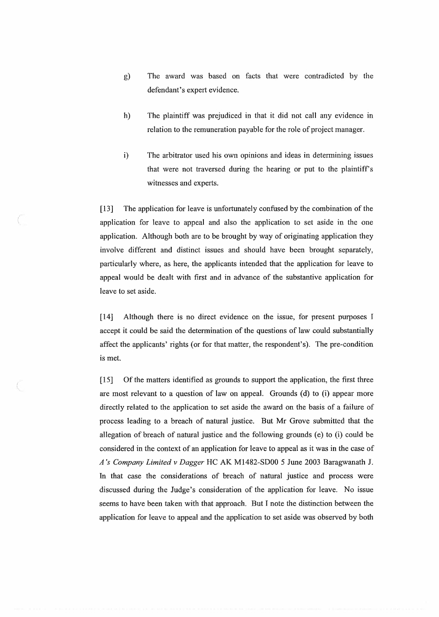- g) The award was based on facts that were contradicted by the defendant's expert evidence.
- h) The plaintiff was prejudiced in that it did not call any evidence in relation to the remuneration payable for the role of project manager.
- i) The arbitrator used his own opinions and ideas in determining issues that were not traversed during the hearing or put to the plaintiff's witnesses and experts.

[13] The application for leave is unfortunately confused by the combination of the application for leave to appeal and also the application to set aside in the one application. Although both are to be brought by way of originating application they involve different and distinct issues and should have been brought separately, particularly where, as here, the applicants intended that the application for leave to appeal would be dealt with first and in advance of the substantive application for leave to set aside.

[14] Although there is no direct evidence on the issue, for present purposes I accept it could be said the determination of the questions of law could substantially affect the applicants' rights (or for that matter, the respondent's). The pre-condition is met.

[15] Of the matters identified as grounds to support the application, the first three are most relevant to a question of law on appeal. Grounds (d) to (i) appear more directly related to the application to set aside the award on the basis of a failure of process leading to a breach of natural justice. But Mr Grove submitted that the allegation of breach of natural justice and the following grounds (e) to (i) could be considered in the context of an application for leave to appeal as it was in the case of *A's Company Limited v Dagger* HC AK M1482-SDOO 5 June 2003 Baragwanath J. In that case the considerations of breach of natural justice and process were discussed during the Judge's consideration of the application for leave. No issue seems to have been taken with that approach. But I note the distinction between the application for leave to appeal and the application to set aside was observed by both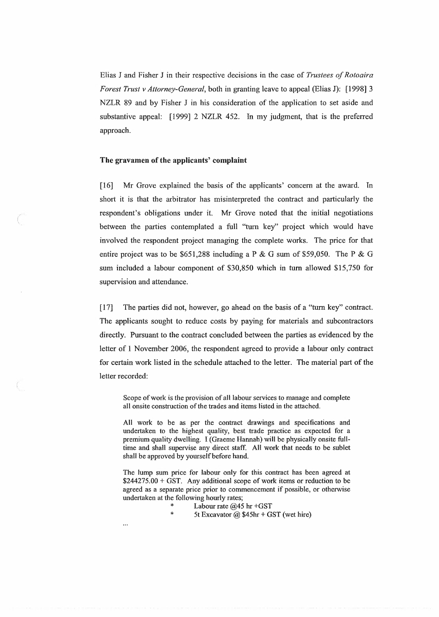Elias J and Fisher J in their respective decisions in the case of *Trustees of Rotoaira Forest Trust v Attorney-General,* both in granting leave to appeal (Elias J): [1998] 3 NZLR 89 and by Fisher J in his consideration of the application to set aside and substantive appeal: [1999] 2 NZLR 452. In my judgment, that is the preferred approach.

#### **The gravamen of the applicants' complaint**

[16] Mr Grove explained the basis of the applicants' concern at the award. Tn short it is that the arbitrator has misinterpreted the contract and particularly the respondent's obligations under it. **Mr** Grove noted that the initial negotiations between the parties contemplated a full "turn key'' project which would have involved the respondent project managing the complete works. The price for that entire project was to be \$651,288 including a P & G sum of \$59,050. The P & G sum included a labour component of \$30,850 which in turn allowed \$15,750 for supervision and attendance.

[17] The parties did not, however, go ahead on the basis of a "turn key" contract. The applicants sought to reduce costs by paying for materials and subcontractors directly. Pursuant to the contract concluded between the parties as evidenced by the letter of 1 November 2006, the respondent agreed to provide a labour only contract for certain work listed in the schedule attached to the letter. The material part of the letter recorded:

Scope of work is the provision of all labour services to manage and complete all onsite construction of the trades and items listed in the attached.

All work to be as per the contract drawings and specifications and undertaken to the highest quality, best trade practice as expected for a premium quality dwelling. I (Graeme Hannah) will be physically onsite fulltime and shall supervise any direct staff. All work that needs to be sublet shall be approved by yourself before hand.

The lump sum price for labour only for this contract has been agreed at  $$244275.00 + GST$ . Any additional scope of work items or reduction to be agreed as a separate price prior to commencement if possible, or otherwise undertaken at the following hourly rates;

- \* Labour rate  $@45$  hr +GST<br>\* 5t Executor  $@35$  hr + GST
	- 5t Excavator  $@$  \$45hr + GST (wet hire)

...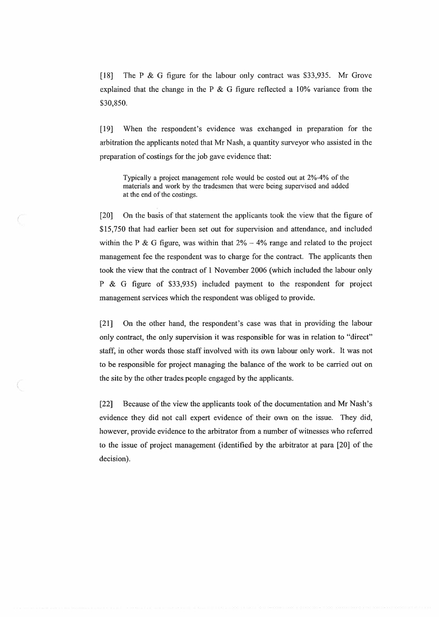[18] The P & G figure for the labour only contract was \$33,935. Mr Grove explained that the change in the P  $\&$  G figure reflected a 10% variance from the \$30,850.

[19] When the respondent's evidence was exchanged in preparation for the arbitration the applicants noted that Mr Nash, a quantity surveyor who assisted in the preparation of costings for the job gave evidence that:

Typically a project management role would be costed out at 2%-4% of the materials and work by the tradesmen that were being supervised and added at the end of the costings.

*{* 

[20] On the basis of that statement the applicants took the view that the figure of \$15,750 that had earlier been set out for supervision and attendance, and included within the P & G figure, was within that  $2\% - 4\%$  range and related to the project management fee the respondent was to charge for the contract. The applicants then took the view that the contract of 1 November 2006 (which included the labour only P & G figure of \$33,935) included payment to the respondent for project management services which the respondent was obliged to provide.

[21] On the other hand, the respondent's case was that in providing the labour only contract, the only supervision it was responsible for was in relation to "direct" staff, in other words those staff involved with its own labour only work. It was not to be responsible for project managing the balance of the work to be carried out on the site by the other trades people engaged by the applicants.

[22] Because of the view the applicants took of the documentation and Mr Nash's evidence they did not call expert evidence of their own on the issue. They did, however, provide evidence to the arbitrator from a number of witnesses who referred to the issue of project management (identified by the arbitrator at para [20] of the decision).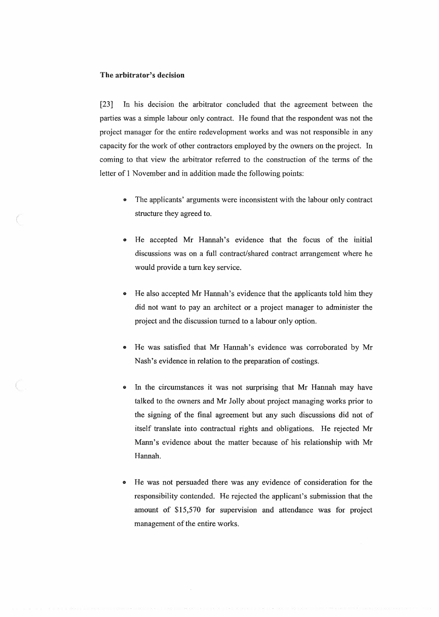### **The arbitrator's decision**

[23] In his decision the arbitrator concluded that the agreement between the parties was a simple labour only contract. He found that the respondent was not the project manager for the entire redevelopment works and was not responsible in any capacity for the work of other contractors employed by the owners on the project. In coming to that view the arbitrator referred to the construction of the terms of the letter of 1 November and in addition made the following points:

- The applicants' arguments were inconsistent with the labour only contract structure they agreed to.
- He accepted Mr Hannah's evidence that the focus of the initial discussions was on a full contract/shared contract arrangement where he would provide a tum key service.
- He also accepted Mr Hannah's evidence that the applicants told him they did not want to pay an architect or a project manager to administer the project and the discussion turned to a labour only option.
- He was satisfied that Mr Hannah's evidence was corroborated by Mr Nash's evidence in relation to the preparation of costings.
- In the circumstances it was not surprising that Mr Hannah may have talked to the owners and Mr Jolly about project managing works prior to the signing of the final agreement but any such discussions did not of itself translate into contractual rights and obligations. He rejected Mr Mann's evidence about the matter because of his relationship with Mr Hannah.
- He was not persuaded there was any evidence of consideration for the responsibility contended. He rejected the applicant's submission that the amount of \$15,570 for supervision and attendance was for project management of the entire works.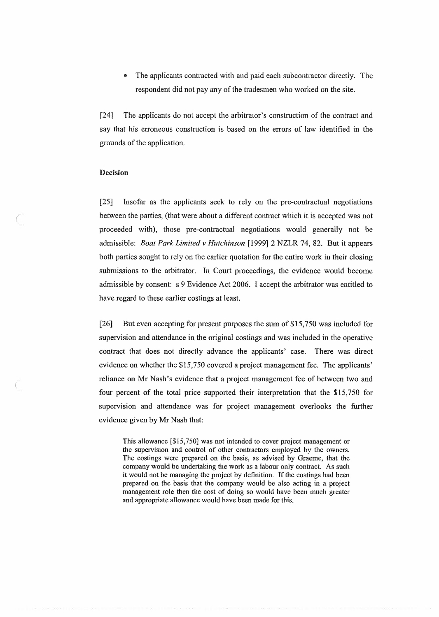• The applicants contracted **with** and paid each subcontractor directly. The respondent did not pay any of the tradesmen who worked on the site.

[24] The applicants do not accept the arbitrator's construction of the contract and say that his erroneous construction is based on the errors of law identified in the grounds of the application.

#### **Decision**

*(* 

(

[25] Insofar as the applicants seek to rely on the pre-contractual negotiations between the parties, (that were about a different contract which it is accepted was not proceeded with), those pre-contractual negotiations would generally not be admissible: *Boat Park Limited v Hutchinson* [1999] 2 NZLR 74, 82. But it appears both parties sought to rely on the earlier quotation for the entire work in their closing submissions to the arbitrator. In Court proceedings, the evidence would become admissible by consent: s 9 Evidence Act 2006. I accept the arbitrator was entitled to have regard to these earlier costings at least.

[26] But even accepting for present purposes the sum of \$15,750 was included for supervision and attendance in the original costings and was included in the operative contract that does not directly advance the applicants' case. There was direct evidence on whether the \$15,750 covered a project management fee. The applicants' reliance on Mr Nash's evidence that a project management fee of between two and four percent of the total price supported their interpretation that the \$15,750 for supervision and attendance was for project management overlooks the further evidence given by Mr Nash that:

This allowance [\$15,750] was not intended to cover project management or the supervision and control of other contractors employed by the owners. The costings were prepared on the basis, as advised by Graeme, that the company would be undertaking the work as a labour only contract. As such it would not be managing the project by definition. If the costings had been prepared on the basis that the company would be also acting in a project management role then the cost of doing so would have been much greater and appropriate allowance would have been made for this.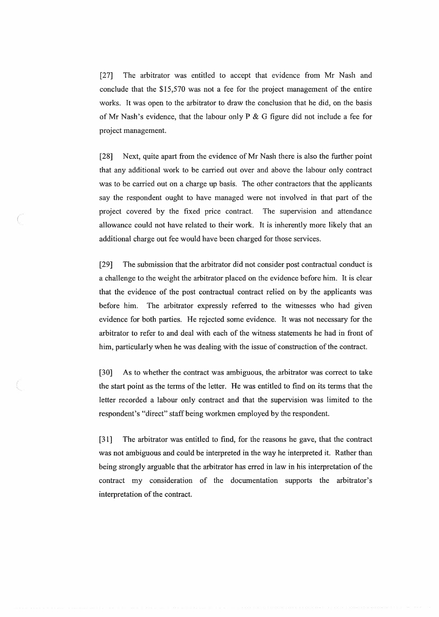[27] The arbitrator was entitled to accept that evidence from Mr Nash and conclude that the \$15,570 was not a fee for the project management of the entire works. It was open to the arbitrator to draw the conclusion that he did, on the basis of Mr Nash's evidence, that the labour only P & G figure did not include a fee for project management.

[28] Next, quite apart from the evidence of Mr Nash there is also the further point that any additional work to be carried out over and above the labour only contract was to be carried out on a charge up basis. The other contractors that the applicants say the respondent ought to have managed were not involved in that part of the project covered by the fixed price contract. The supervision and attendance allowance could not have related to their work. It is inherently more likely that an additional charge out fee would have been charged for those services.

\

[29] The submission that the arbitrator did not consider post contractual conduct is a challenge to the weight the arbitrator placed on the evidence before him. It is clear that the evidence of the post contractual contract relied on by the applicants was before him. The arbitrator expressly referred to the witnesses who had given evidence for both parties. He rejected some evidence. It was not necessary for the arbitrator to refer to and deal with each of the witness statements he had in front of him, particularly when he was dealing with the issue of construction of the contract.

[30] As to whether the contract was ambiguous, the arbitrator was correct to take the start point as the terms of the letter. He was entitled to find on its terms that the letter recorded a labour only contract and that the supervision was limited to the respondent's "direct" staff being workmen employed by the respondent.

[31] The arbitrator was entitled to find, for the reasons he gave, that the contract was not ambiguous and could be interpreted in the way he interpreted it. Rather than being strongly arguable that the arbitrator has erred in law in his interpretation of the contract my consideration of the documentation supports the arbitrator's interpretation of the contract.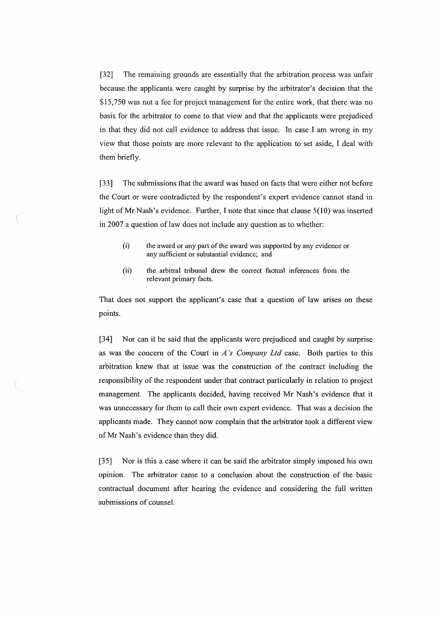[32] The remaining grounds are essentially that the arbitration process was unfair because the applicants were caught by surprise by the arbitrator's decision that the \$15,750 was not a fee for project management for the entire work, that there was no basis for the arbitrator to come to that view and that the applicants were prejudiced in that they did not call evidence to address that issue. In case I am wrong in my view that those points are more relevant to the application to set aside, I deal with them briefly.

[33] The submissions that the award was based on facts that were either not before the Court or were contradicted by the respondent's expert evidence cannot stand in light of Mr Nash's evidence. Further, I note that since that clause 5(10) was inserted in 2007 a question of law does not include any question as to whether:

- (i) the award or any part of the award was supported by any evidence or any sufficient or substantial evidence; and
- (ii) the arbitral tribunal drew the correct factual inferences from the relevant primary facts.

That does not support the applicant's case that a question of law arises on these points.

[34] Nor can it be said that the applicants were prejudiced and caught by surprise as was the concern of the Court in *A 's Company Ltd* case. Both parties to this arbitration knew that at issue was the construction of the contract including the responsibility of the respondent under that contract particularly in relation to project management. The applicants decided, having received Mr Nash's evidence that it was unnecessary for them to call their own expert evidence. That was a decision the applicants made. They cannot now complain that the arbitrator took a different view of Mr Nash's evidence than they did.

[35] Nor is this a case where it can be said the arbitrator simply imposed his own opinion. The arbitrator came to a conclusion about the construction of the basic contractual document after hearing the evidence and considering the full written submissions of counsel.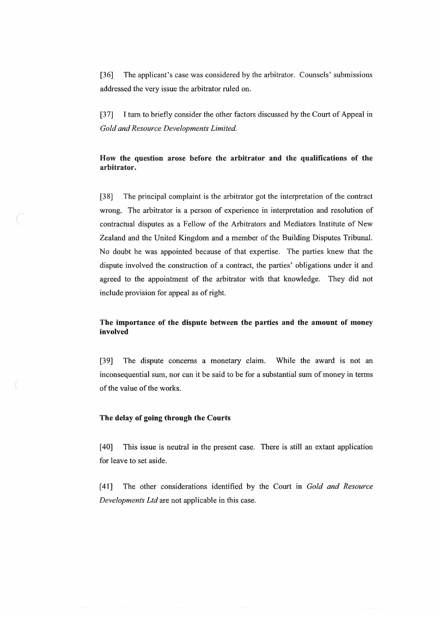[36] The applicant's case was considered by the arbitrator. Counsels' submissions addressed the very issue the arbitrator ruled on.

[37] I tum to briefly consider the other factors discussed by the Court of Appeal in *Gold and Resource Developments Limited.* 

## **How the question arose before the arbitrator and the qualifications of the arbitrator.**

[38] The principal complaint is the arbitrator got the interpretation of the contract wrong. The arbitrator is a person of experience in interpretation and resolution of contractual disputes as a Fellow of the Arbitrators and Mediators Institute of New Zealand and the United Kingdom and a member of the Building Disputes Tribunal. No doubt he was appointed because of that expertise. The parties knew that the dispute involved the construction of a contract, the parties' obligations under it and agreed to the appointment of the arbitrator with that knowledge. They did not include provision for appeal as of right.

## **The importance of the dispute between the parties and the amount of money involved**

[39] The dispute concerns a monetary claim. While the award is not an inconsequential sum, nor can it be said to be for a substantial sum of money in terms of the value of the works.

#### **The delay of going through the Courts**

[40] This issue is neutral in the present case. There is still an extant application for leave to set aside.

[ 41] The other considerations identified by the Court in *Gold and Resource Developments Ltd* are not applicable in this case.